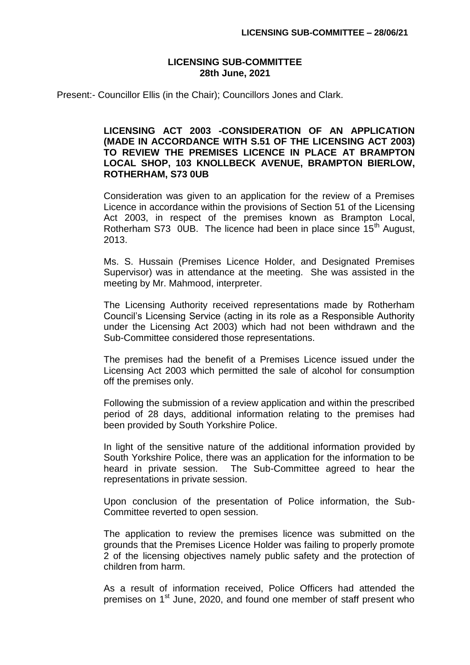## **LICENSING SUB-COMMITTEE 28th June, 2021**

Present:- Councillor Ellis (in the Chair); Councillors Jones and Clark.

## **LICENSING ACT 2003 -CONSIDERATION OF AN APPLICATION (MADE IN ACCORDANCE WITH S.51 OF THE LICENSING ACT 2003) TO REVIEW THE PREMISES LICENCE IN PLACE AT BRAMPTON LOCAL SHOP, 103 KNOLLBECK AVENUE, BRAMPTON BIERLOW, ROTHERHAM, S73 0UB**

Consideration was given to an application for the review of a Premises Licence in accordance within the provisions of Section 51 of the Licensing Act 2003, in respect of the premises known as Brampton Local, Rotherham S73 0UB. The licence had been in place since  $15<sup>th</sup>$  August, 2013.

Ms. S. Hussain (Premises Licence Holder, and Designated Premises Supervisor) was in attendance at the meeting. She was assisted in the meeting by Mr. Mahmood, interpreter.

The Licensing Authority received representations made by Rotherham Council's Licensing Service (acting in its role as a Responsible Authority under the Licensing Act 2003) which had not been withdrawn and the Sub-Committee considered those representations.

The premises had the benefit of a Premises Licence issued under the Licensing Act 2003 which permitted the sale of alcohol for consumption off the premises only.

Following the submission of a review application and within the prescribed period of 28 days, additional information relating to the premises had been provided by South Yorkshire Police.

In light of the sensitive nature of the additional information provided by South Yorkshire Police, there was an application for the information to be heard in private session. The Sub-Committee agreed to hear the representations in private session.

Upon conclusion of the presentation of Police information, the Sub-Committee reverted to open session.

The application to review the premises licence was submitted on the grounds that the Premises Licence Holder was failing to properly promote 2 of the licensing objectives namely public safety and the protection of children from harm.

As a result of information received, Police Officers had attended the premises on 1<sup>st</sup> June, 2020, and found one member of staff present who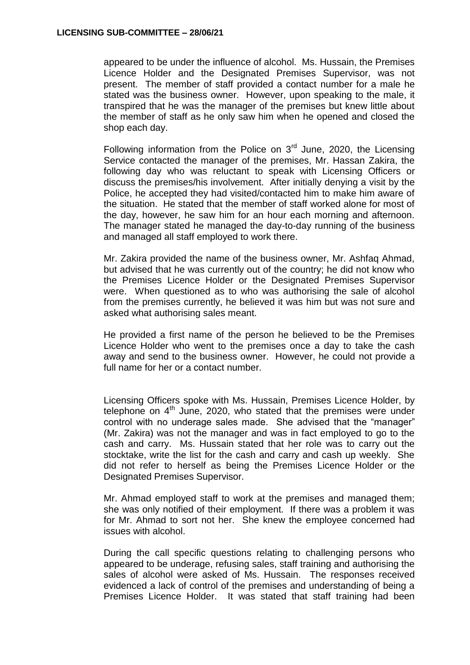appeared to be under the influence of alcohol. Ms. Hussain, the Premises Licence Holder and the Designated Premises Supervisor, was not present. The member of staff provided a contact number for a male he stated was the business owner. However, upon speaking to the male, it transpired that he was the manager of the premises but knew little about the member of staff as he only saw him when he opened and closed the shop each day.

Following information from the Police on  $3<sup>rd</sup>$  June, 2020, the Licensing Service contacted the manager of the premises, Mr. Hassan Zakira, the following day who was reluctant to speak with Licensing Officers or discuss the premises/his involvement. After initially denying a visit by the Police, he accepted they had visited/contacted him to make him aware of the situation. He stated that the member of staff worked alone for most of the day, however, he saw him for an hour each morning and afternoon. The manager stated he managed the day-to-day running of the business and managed all staff employed to work there.

Mr. Zakira provided the name of the business owner, Mr. Ashfaq Ahmad, but advised that he was currently out of the country; he did not know who the Premises Licence Holder or the Designated Premises Supervisor were. When questioned as to who was authorising the sale of alcohol from the premises currently, he believed it was him but was not sure and asked what authorising sales meant.

He provided a first name of the person he believed to be the Premises Licence Holder who went to the premises once a day to take the cash away and send to the business owner. However, he could not provide a full name for her or a contact number.

Licensing Officers spoke with Ms. Hussain, Premises Licence Holder, by telephone on  $4<sup>th</sup>$  June, 2020, who stated that the premises were under control with no underage sales made. She advised that the "manager" (Mr. Zakira) was not the manager and was in fact employed to go to the cash and carry. Ms. Hussain stated that her role was to carry out the stocktake, write the list for the cash and carry and cash up weekly. She did not refer to herself as being the Premises Licence Holder or the Designated Premises Supervisor.

Mr. Ahmad employed staff to work at the premises and managed them; she was only notified of their employment. If there was a problem it was for Mr. Ahmad to sort not her. She knew the employee concerned had issues with alcohol.

During the call specific questions relating to challenging persons who appeared to be underage, refusing sales, staff training and authorising the sales of alcohol were asked of Ms. Hussain. The responses received evidenced a lack of control of the premises and understanding of being a Premises Licence Holder. It was stated that staff training had been